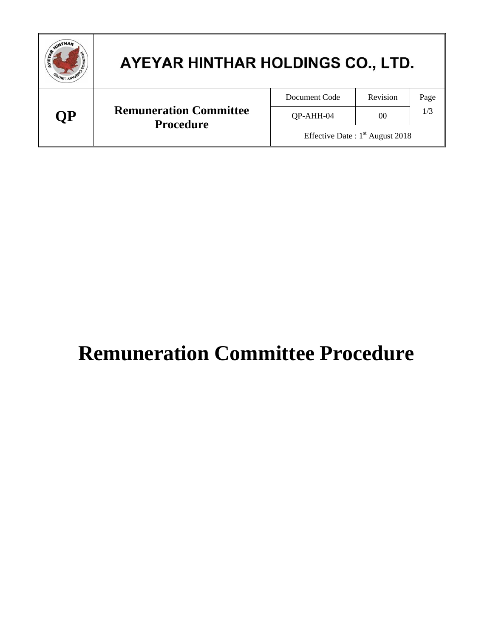| WINTHAM   | AYEYAR HINTHAR HOLDINGS CO., LTD.                 |                                   |                 |      |  |
|-----------|---------------------------------------------------|-----------------------------------|-----------------|------|--|
| <b>OP</b> | <b>Remuneration Committee</b><br><b>Procedure</b> | Document Code                     | Revision        | Page |  |
|           |                                                   | QP-AHH-04                         | 00 <sup>2</sup> | 1/3  |  |
|           |                                                   | Effective Date: $1st$ August 2018 |                 |      |  |

# **Remuneration Committee Procedure**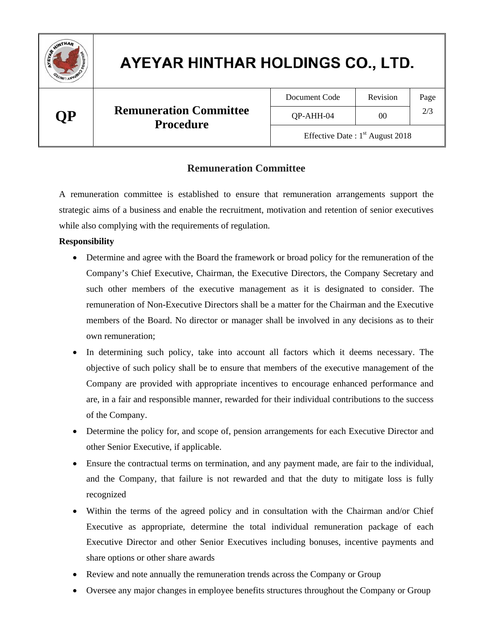

## AYEYAR HINTHAR HOLDINGS CO., LTD.

### **QP Remuneration Committee Procedure**

| Document Code | Revision | Page |
|---------------|----------|------|
| $OP-AHH-04$   | ററ       |      |

Revision Page

Effective Date :  $1<sup>st</sup>$  August 2018

#### **Remuneration Committee**

A remuneration committee is established to ensure that remuneration arrangements support the strategic aims of a business and enable the recruitment, motivation and retention of senior executives while also complying with the requirements of regulation.

#### **Responsibility**

- Determine and agree with the Board the framework or broad policy for the remuneration of the Company's Chief Executive, Chairman, the Executive Directors, the Company Secretary and such other members of the executive management as it is designated to consider. The remuneration of Non-Executive Directors shall be a matter for the Chairman and the Executive members of the Board. No director or manager shall be involved in any decisions as to their own remuneration;
- In determining such policy, take into account all factors which it deems necessary. The objective of such policy shall be to ensure that members of the executive management of the Company are provided with appropriate incentives to encourage enhanced performance and are, in a fair and responsible manner, rewarded for their individual contributions to the success of the Company.
- Determine the policy for, and scope of, pension arrangements for each Executive Director and other Senior Executive, if applicable.
- Ensure the contractual terms on termination, and any payment made, are fair to the individual, and the Company, that failure is not rewarded and that the duty to mitigate loss is fully recognized
- Within the terms of the agreed policy and in consultation with the Chairman and/or Chief Executive as appropriate, determine the total individual remuneration package of each Executive Director and other Senior Executives including bonuses, incentive payments and share options or other share awards
- Review and note annually the remuneration trends across the Company or Group
- Oversee any major changes in employee benefits structures throughout the Company or Group